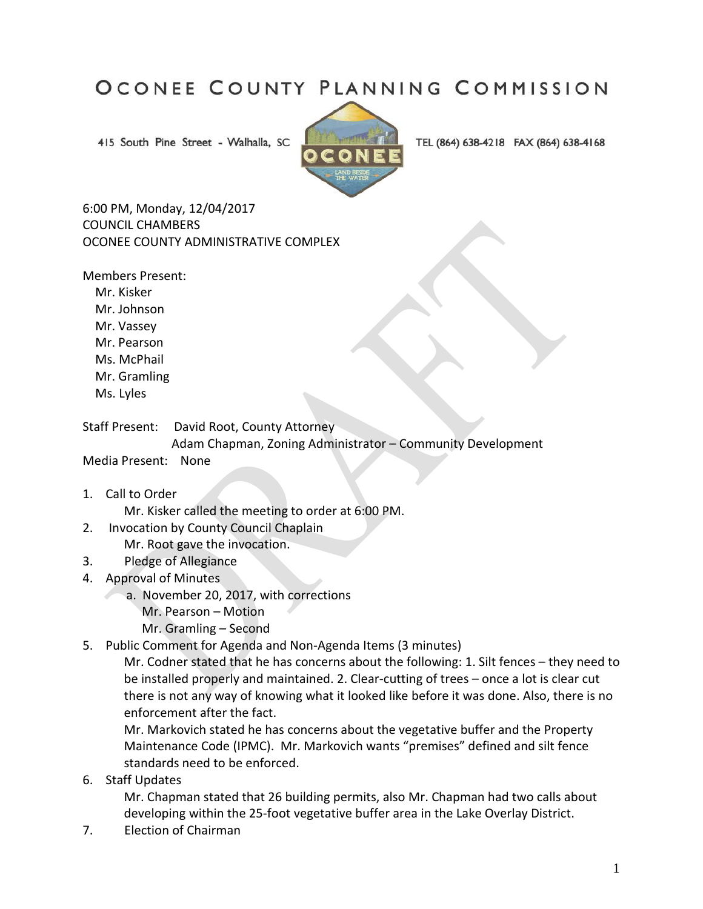## OCONEE COUNTY PLANNING COMMISSION

415 South Pine Street - Walhalla, SC



TEL (864) 638-4218 FAX (864) 638-4168

6:00 PM, Monday, 12/04/2017 COUNCIL CHAMBERS OCONEE COUNTY ADMINISTRATIVE COMPLEX

Members Present:

 Mr. Kisker Mr. Johnson Mr. Vassey Mr. Pearson Ms. McPhail Mr. Gramling Ms. Lyles

Staff Present: David Root, County Attorney Adam Chapman, Zoning Administrator – Community Development Media Present: None

1. Call to Order

Mr. Kisker called the meeting to order at 6:00 PM.

- 2. Invocation by County Council Chaplain Mr. Root gave the invocation.
- 3. Pledge of Allegiance
- 4. Approval of Minutes
	- a. November 20, 2017, with corrections
		- Mr. Pearson Motion
		- Mr. Gramling Second
- 5. Public Comment for Agenda and Non-Agenda Items (3 minutes)

Mr. Codner stated that he has concerns about the following: 1. Silt fences – they need to be installed properly and maintained. 2. Clear-cutting of trees – once a lot is clear cut there is not any way of knowing what it looked like before it was done. Also, there is no enforcement after the fact.

Mr. Markovich stated he has concerns about the vegetative buffer and the Property Maintenance Code (IPMC). Mr. Markovich wants "premises" defined and silt fence standards need to be enforced.

6. Staff Updates

Mr. Chapman stated that 26 building permits, also Mr. Chapman had two calls about developing within the 25-foot vegetative buffer area in the Lake Overlay District.

7. Election of Chairman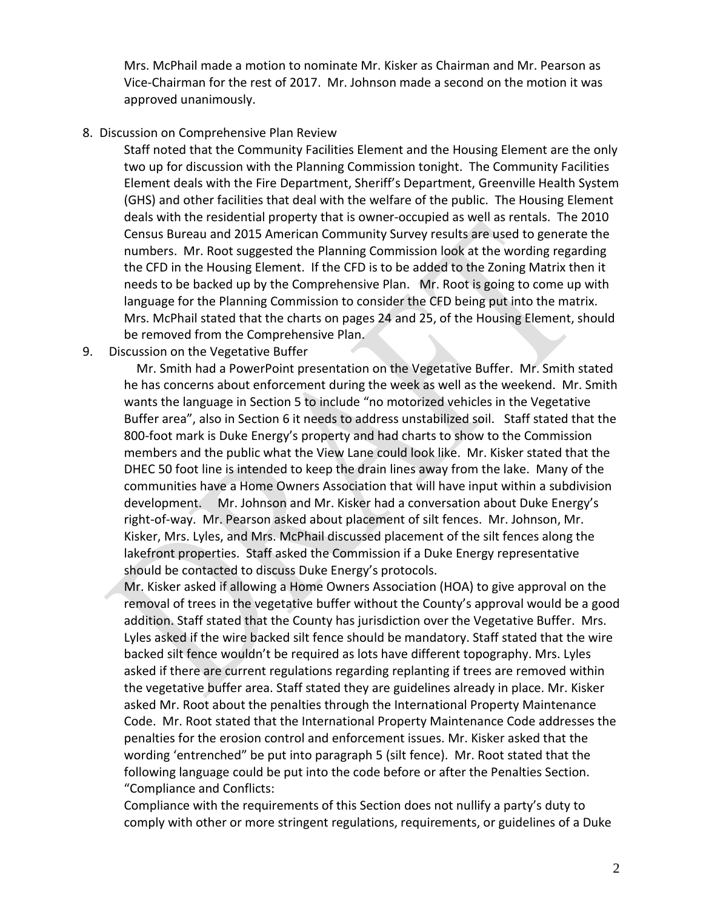Mrs. McPhail made a motion to nominate Mr. Kisker as Chairman and Mr. Pearson as Vice-Chairman for the rest of 2017. Mr. Johnson made a second on the motion it was approved unanimously.

## 8. Discussion on Comprehensive Plan Review

Staff noted that the Community Facilities Element and the Housing Element are the only two up for discussion with the Planning Commission tonight. The Community Facilities Element deals with the Fire Department, Sheriff's Department, Greenville Health System (GHS) and other facilities that deal with the welfare of the public. The Housing Element deals with the residential property that is owner-occupied as well as rentals. The 2010 Census Bureau and 2015 American Community Survey results are used to generate the numbers. Mr. Root suggested the Planning Commission look at the wording regarding the CFD in the Housing Element. If the CFD is to be added to the Zoning Matrix then it needs to be backed up by the Comprehensive Plan. Mr. Root is going to come up with language for the Planning Commission to consider the CFD being put into the matrix. Mrs. McPhail stated that the charts on pages 24 and 25, of the Housing Element, should be removed from the Comprehensive Plan.

## 9. Discussion on the Vegetative Buffer

 Mr. Smith had a PowerPoint presentation on the Vegetative Buffer. Mr. Smith stated he has concerns about enforcement during the week as well as the weekend. Mr. Smith wants the language in Section 5 to include "no motorized vehicles in the Vegetative Buffer area", also in Section 6 it needs to address unstabilized soil. Staff stated that the 800-foot mark is Duke Energy's property and had charts to show to the Commission members and the public what the View Lane could look like. Mr. Kisker stated that the DHEC 50 foot line is intended to keep the drain lines away from the lake. Many of the communities have a Home Owners Association that will have input within a subdivision development. Mr. Johnson and Mr. Kisker had a conversation about Duke Energy's right-of-way. Mr. Pearson asked about placement of silt fences. Mr. Johnson, Mr. Kisker, Mrs. Lyles, and Mrs. McPhail discussed placement of the silt fences along the lakefront properties. Staff asked the Commission if a Duke Energy representative should be contacted to discuss Duke Energy's protocols.

Mr. Kisker asked if allowing a Home Owners Association (HOA) to give approval on the removal of trees in the vegetative buffer without the County's approval would be a good addition. Staff stated that the County has jurisdiction over the Vegetative Buffer. Mrs. Lyles asked if the wire backed silt fence should be mandatory. Staff stated that the wire backed silt fence wouldn't be required as lots have different topography. Mrs. Lyles asked if there are current regulations regarding replanting if trees are removed within the vegetative buffer area. Staff stated they are guidelines already in place. Mr. Kisker asked Mr. Root about the penalties through the International Property Maintenance Code. Mr. Root stated that the International Property Maintenance Code addresses the penalties for the erosion control and enforcement issues. Mr. Kisker asked that the wording 'entrenched" be put into paragraph 5 (silt fence). Mr. Root stated that the following language could be put into the code before or after the Penalties Section. "Compliance and Conflicts:

Compliance with the requirements of this Section does not nullify a party's duty to comply with other or more stringent regulations, requirements, or guidelines of a Duke